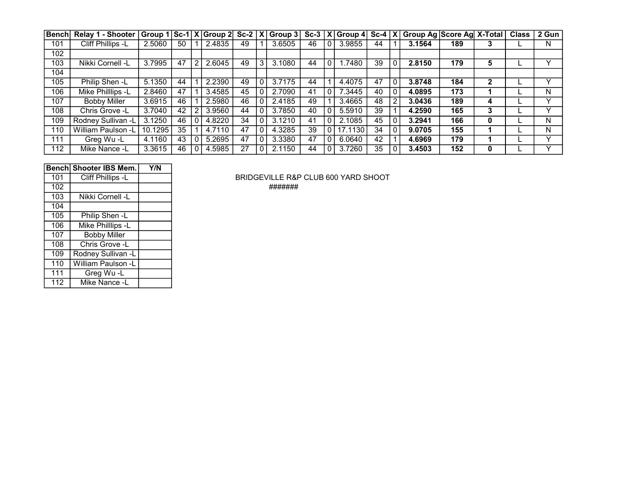| <b>Bench</b> | <b>Relay 1 - Shooter</b> | Group $1 Sc-1 X $ Group $2 Sc-2 X $ |    |                |        |    |   | Group $3$ | $Sc-3$ |                         | $ \overline{X} $ Group 4 |    |   | Sc-4   X   Group Ag   Score Ag   X-Total |     |              | <b>Class</b> | 2 Gun |
|--------------|--------------------------|-------------------------------------|----|----------------|--------|----|---|-----------|--------|-------------------------|--------------------------|----|---|------------------------------------------|-----|--------------|--------------|-------|
| 101          | Cliff Phillips -L        | 2.5060                              | 50 |                | 2.4835 | 49 |   | 3.6505    | 46     | $\mathbf{0}$            | 3.9855                   | 44 |   | 3.1564                                   | 189 | 3            |              | N     |
| 102          |                          |                                     |    |                |        |    |   |           |        |                         |                          |    |   |                                          |     |              |              |       |
| 103          | Nikki Cornell -L         | 3.7995                              | 47 | $\overline{2}$ | 2.6045 | 49 | 3 | 3.1080    | 44     | $\mathbf{0}$            | .7480                    | 39 |   | 2.8150                                   | 179 | 5            |              |       |
| 104          |                          |                                     |    |                |        |    |   |           |        |                         |                          |    |   |                                          |     |              |              |       |
| 105          | Philip Shen -L           | 5.1350                              | 44 |                | 2.2390 | 49 |   | 3.7175    | 44     |                         | 4.4075                   | 47 |   | 3.8748                                   | 184 | $\mathbf{2}$ |              |       |
| 106          | Mike Philllips -L        | 2.8460                              | 47 |                | 3.4585 | 45 |   | 2.7090    | 41     |                         | 7.3445                   | 40 |   | 4.0895                                   | 173 |              |              | N     |
| 107          | <b>Bobby Miller</b>      | 3.6915                              | 46 |                | 2.5980 | 46 |   | 2.4185    | 49     |                         | 3.4665                   | 48 | 2 | 3.0436                                   | 189 | 4            |              |       |
| 108          | Chris Grove -L           | 3.7040                              | 42 | 2 <sub>1</sub> | 3.9560 | 44 |   | 3.7850    | 40     | $\mathbf{0}$            | 5.5910                   | 39 |   | 4.2590                                   | 165 | 3            |              |       |
| 109          | Rodney Sullivan -L       | 3.1250                              | 46 | 0              | 4.8220 | 34 |   | 3.1210    | 41     |                         | 2.1085                   | 45 |   | 3.2941                                   | 166 | 0            |              | N     |
| 110          | William Paulson -L       | 10.1295                             | 35 |                | 4.7110 | 47 |   | 4.3285    | 39     | $^{\circ}$ 0 $^{\circ}$ | 17.1130                  | 34 |   | 9.0705                                   | 155 |              |              | N     |
| 111          | Greg Wu-L                | 4.1160                              | 43 | 0              | 5.2695 | 47 |   | 3.3380    | 47     | $\mathbf{0}$            | 6.0640                   | 42 |   | 4.6969                                   | 179 |              |              |       |
| 112          | Mike Nance -L            | 3.3615                              | 46 | 0              | 4.5985 | 27 |   | 2.1150    | 44     | $\mathbf{0}$            | 3.7260                   | 35 |   | 3.4503                                   | 152 | 0            |              |       |

|     | <b>Benchl Shooter IBS Mem.</b> | Y/N |
|-----|--------------------------------|-----|
| 101 | Cliff Phillips -L              |     |
| 102 |                                |     |
| 103 | Nikki Cornell -L               |     |
| 104 |                                |     |
| 105 | Philip Shen -L                 |     |
| 106 | Mike Philllips -L              |     |
| 107 | <b>Bobby Miller</b>            |     |
| 108 | Chris Grove -L                 |     |
| 109 | Rodney Sullivan -L             |     |
| 110 | William Paulson -L             |     |
| 111 | Greg Wu-L                      |     |
| 112 | Mike Nance -L                  |     |

BRIDGEVILLE R&P CLUB 600 YARD SHOOT

#######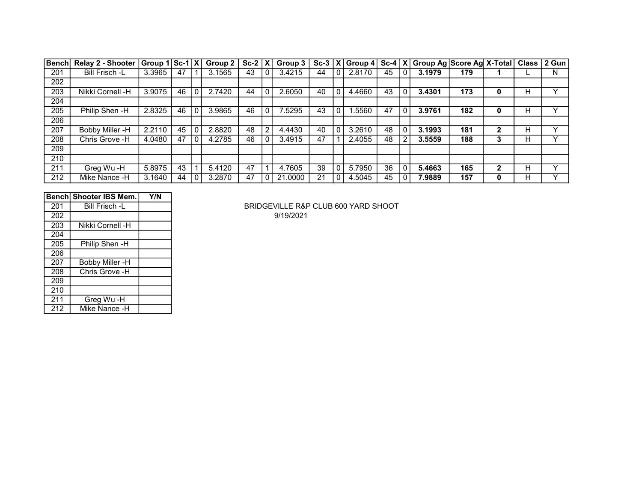| <b>Bench</b> | Relay 2 - Shooter Group 1 Sc-1 X |        |    | Group $2 \mid$ | $Sc-2$ $ X $ |   | Group $3 \mid$ |    | Sc-3 $ X $ Group 4 $ Sc-4 X $ |    |             | Group Ag Score Ag X-Total   Class   2 Gun |     |              |   |   |
|--------------|----------------------------------|--------|----|----------------|--------------|---|----------------|----|-------------------------------|----|-------------|-------------------------------------------|-----|--------------|---|---|
| 201          | Bill Frisch -L                   | 3.3965 | 47 | 3.1565         | 43           | 0 | 3.4215         | 44 | 2.8170                        | 45 | 0           | 3.1979                                    | 179 |              |   | N |
| 202          |                                  |        |    |                |              |   |                |    |                               |    |             |                                           |     |              |   |   |
| 203          | Nikki Cornell -H                 | 3.9075 | 46 | 2.7420         | 44           |   | 2.6050         | 40 | 4.4660                        | 43 | $\Omega$    | 3.4301                                    | 173 | 0            | н |   |
| 204          |                                  |        |    |                |              |   |                |    |                               |    |             |                                           |     |              |   |   |
| 205          | Philip Shen -H                   | 2.8325 | 46 | 3.9865         | 46           | 0 | 7.5295         | 43 | 1.5560                        | 47 | $\mathbf 0$ | 3.9761                                    | 182 | 0            | н |   |
| 206          |                                  |        |    |                |              |   |                |    |                               |    |             |                                           |     |              |   |   |
| 207          | Bobby Miller -H                  | 2.2110 | 45 | 2.8820         | 48           | 2 | 4.4430         | 40 | 3.2610                        | 48 | $\mathbf 0$ | 3.1993                                    | 181 |              | н | v |
| 208          | Chris Grove -H                   | 4.0480 | 47 | 4.2785         | 46           | 0 | 3.4915         | 47 | 2.4055                        | 48 | 2           | 3.5559                                    | 188 |              | н |   |
| 209          |                                  |        |    |                |              |   |                |    |                               |    |             |                                           |     |              |   |   |
| 210          |                                  |        |    |                |              |   |                |    |                               |    |             |                                           |     |              |   |   |
| 211          | Greg Wu-H                        | 5.8975 | 43 | 5.4120         | 47           |   | 4.7605         | 39 | 5.7950                        | 36 | $\Omega$    | 5.4663                                    | 165 | $\mathbf{2}$ | н | v |
| 212          | Mike Nance -H                    | 3.1640 | 44 | 3.2870         | 47           | 0 | 21.0000        | 21 | 4.5045                        | 45 | 0           | 7.9889                                    | 157 |              | н |   |

|     | ∣Bench∣ Shooter IBS Mem. | Y/N |
|-----|--------------------------|-----|
| 201 | Bill Frisch -L           |     |
| 202 |                          |     |
| 203 | Nikki Cornell -H         |     |
| 204 |                          |     |
| 205 | Philip Shen -H           |     |
| 206 |                          |     |
| 207 | <b>Bobby Miller -H</b>   |     |
| 208 | Chris Grove -H           |     |
| 209 |                          |     |
| 210 |                          |     |
| 211 | Greg Wu -H               |     |
| 212 | Mike Nance -H            |     |

BRIDGEVILLE R&P CLUB 600 YARD SHOOT 9/19/2021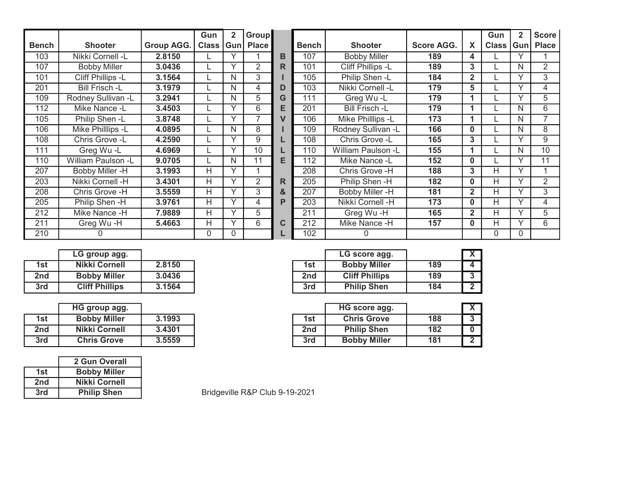|              |                       |            | Gun   | $\overline{\mathbf{2}}$ | <b>Group</b> |   |              |                       |                   |                | Gun          | $\mathbf{2}$ | <b>Score</b> |
|--------------|-----------------------|------------|-------|-------------------------|--------------|---|--------------|-----------------------|-------------------|----------------|--------------|--------------|--------------|
| <b>Bench</b> | <b>Shooter</b>        | Group AGG. | Class | <b>Gun</b>              | <b>Place</b> |   | <b>Bench</b> | <b>Shooter</b>        | <b>Score AGG.</b> | X              | <b>Class</b> | Gun          | <b>Place</b> |
| 103          | Nikki Cornell -L      | 2.8150     |       | $\checkmark$            |              | в | 107          | <b>Bobby Miller</b>   | 189               | 4              |              |              |              |
| 107          | <b>Bobby Miller</b>   | 3.0436     |       | $\checkmark$            | 2            | R | 101          | Cliff Phillips -L     | 189               | 3              |              | N            | 2            |
| 101          | Cliff Phillips -L     | 3.1564     |       | N                       | 3            |   | 105          | Philip Shen -L        | 184               | $\mathbf{2}$   |              |              | 3            |
| 201          | <b>Bill Frisch -L</b> | 3.1979     |       | N                       | 4            | D | 103          | Nikki Cornell -L      | 179               | 5              |              |              | 4            |
| 109          | Rodney Sullivan -L    | 3.2941     |       | N                       | 5            | G | 111          | Greg Wu-L             | 179               |                |              | $\checkmark$ | 5            |
| 112          | Mike Nance -L         | 3.4503     |       | v                       | 6            | E | 201          | <b>Bill Frisch -L</b> | 179               | 1              |              | N            | 6            |
| 105          | Philip Shen -L        | 3.8748     |       | $\checkmark$            |              | V | 106          | Mike Philllips -L     | 173               | 1              |              | N            | 7            |
| 106          | Mike Philllips -L     | 4.0895     |       | N                       | 8            |   | 109          | Rodney Sullivan -L    | 166               | $\bf{0}$       |              | N            | 8            |
| 108          | Chris Grove -L        | 4.2590     |       | $\checkmark$            | 9            |   | 108          | Chris Grove -L        | 165               | 3              |              |              | 9            |
| 111          | Greg Wu-L             | 4.6969     |       | $\checkmark$            | 10           |   | 110          | William Paulson -L    | 155               |                |              | N            | 10           |
| 110          | William Paulson -L    | 9.0705     |       | N                       | 11           | E | 112          | Mike Nance -L         | 152               | $\bf{0}$       |              |              | 11           |
| 207          | Bobby Miller -H       | 3.1993     | н     | $\checkmark$            |              |   | 208          | Chris Grove -H        | 188               | 3              | Н            | $\checkmark$ |              |
| 203          | Nikki Cornell -H      | 3.4301     | н     | $\checkmark$            | 2            | R | 205          | Philip Shen -H        | 182               | $\bf{0}$       | Н            |              | 2            |
| 208          | Chris Grove -H        | 3.5559     | H.    |                         | 3            | & | 207          | Bobby Miller -H       | 181               | $\mathbf{2}$   | H            |              | 3            |
| 205          | Philip Shen -H        | 3.9761     | H     | $\checkmark$            | 4            | P | 203          | Nikki Cornell -H      | 173               | $\bf{0}$       | Н            |              | 4            |
| 212          | Mike Nance -H         | 7.9889     | H     | $\checkmark$            | 5            |   | 211          | Greg Wu-H             | 165               | $\overline{2}$ | н            |              | 5            |
| 211          | Greg Wu-H             | 5.4663     | H     | $\checkmark$            | 6            | C | 212          | Mike Nance -H         | 157               | $\bf{0}$       | Η            |              | 6            |
| 210          | 0                     |            |       |                         |              |   | 102          |                       |                   |                | 0            |              |              |

|     | LG group agg.         |        |
|-----|-----------------------|--------|
| 1st | Nikki Cornell         | 2.8150 |
| 2nd | <b>Bobby Miller</b>   | 3.0436 |
| 3rd | <b>Cliff Phillips</b> | 3.1564 |

|                 | HG group agg.        |        |
|-----------------|----------------------|--------|
| 1st             | <b>Bobby Miller</b>  | 3.1993 |
| 2 <sub>nd</sub> | <b>Nikki Cornell</b> | 3.4301 |
| 3rd             | <b>Chris Grove</b>   | 3.5559 |

|     | 2 Gun Overall        |
|-----|----------------------|
| 1st | <b>Bobby Miller</b>  |
| 2nd | <b>Nikki Cornell</b> |
| 3rd | <b>Philip Shen</b>   |

|                 | LG group agg.         |        |     | LG score agg.         |     |
|-----------------|-----------------------|--------|-----|-----------------------|-----|
| 1st             | Nikki Cornell         | 2.8150 | 1st | <b>Bobby Miller</b>   | 189 |
| 2 <sub>nd</sub> | <b>Bobby Miller</b>   | 3.0436 | 2nd | <b>Cliff Phillips</b> | 189 |
| 3rd             | <b>Cliff Phillips</b> | 3.1564 | 3rd | <b>Philip Shen</b>    | 184 |

|     | <b>HG</b> group agg. |        |     | HG score agg.       |     |  |
|-----|----------------------|--------|-----|---------------------|-----|--|
| 1st | <b>Bobby Miller</b>  | 3.1993 | 1st | <b>Chris Grove</b>  | 188 |  |
| 2nd | Nikki Cornell        | 3.4301 | 2nd | <b>Philip Shen</b>  | 182 |  |
| 3rd | <b>Chris Grove</b>   | 3.5559 | 3rd | <b>Bobby Miller</b> | 181 |  |

Bridgeville R&P Club 9-19-2021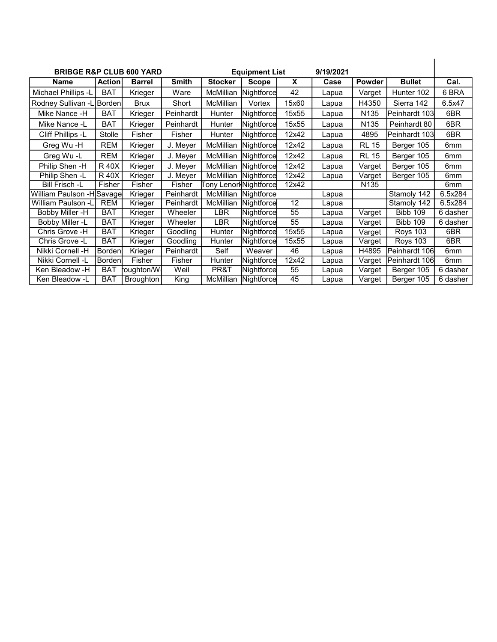| <b>BRIBGE R&amp;P CLUB 600 YARD</b> |               |               |              |                       | <b>Equipment List</b> |       | 9/19/2021 |                  |                 |                 |
|-------------------------------------|---------------|---------------|--------------|-----------------------|-----------------------|-------|-----------|------------------|-----------------|-----------------|
| <b>Name</b>                         | <b>Action</b> | <b>Barrel</b> | <b>Smith</b> | <b>Stocker</b>        | <b>Scope</b>          | X     | Case      | Powder           | <b>Bullet</b>   | Cal.            |
| Michael Phillips -L                 | <b>BAT</b>    | Krieger       | Ware         | McMillian             | Nightforce            | 42    | Lapua     | Varget           | Hunter 102      | 6 BRA           |
| Rodney Sullivan -L Borden           |               | <b>Brux</b>   | Short        | <b>McMillian</b>      | Vortex                | 15x60 | Lapua     | H4350            | Sierra 142      | 6.5x47          |
| Mike Nance -H                       | <b>BAT</b>    | Krieger       | Peinhardt    | Hunter                | Nightforce            | 15x55 | Lapua     | N <sub>135</sub> | Peinhardt 103   | 6BR             |
| Mike Nance -L                       | <b>BAT</b>    | Krieger       | Peinhardt    | Hunter                | Nightforce            | 15x55 | Lapua     | N <sub>135</sub> | Peinhardt 80    | 6BR             |
| Cliff Phillips -L                   | Stolle        | Fisher        | Fisher       | Hunter                | Nightforce            | 12x42 | Lapua     | 4895             | Peinhardt 103   | 6BR             |
| Greg Wu-H                           | REM           | Krieger       | J. Meyer     | McMillian             | Nightforce            | 12x42 | Lapua     | <b>RL 15</b>     | Berger 105      | 6mm             |
| Greg Wu-L                           | <b>REM</b>    | Krieger       | J. Meyer     | McMillian             | Nightforce            | 12x42 | Lapua     | <b>RL 15</b>     | Berger 105      | 6mm             |
| Philip Shen -H                      | <b>R40X</b>   | Krieger       | J. Meyer     | McMillian             | Nightforce            | 12x42 | Lapua     | Varget           | Berger 105      | 6 <sub>mm</sub> |
| Philip Shen -L                      | <b>R40X</b>   | Krieger       | J. Meyer     | McMillian             | Nightforce            | 12x42 | Lapua     | Varget           | Berger 105      | 6mm             |
| <b>Bill Frisch -L</b>               | Fisher        | Fisher        | Fisher       | Tony LenorkNightforce |                       | 12x42 |           | N <sub>135</sub> |                 | 6 <sub>mm</sub> |
| William Paulson - H Savage          |               | Krieger       | Peinhardt    | McMillian             | Nightforce            |       | Lapua     |                  | Stamoly 142     | 6.5x284         |
| William Paulson -L                  | <b>REM</b>    | Krieger       | Peinhardt    | McMillian             | <b>Nightforcel</b>    | 12    | Lapua     |                  | Stamoly 142     | 6.5x284         |
| Bobby Miller -H                     | <b>BAT</b>    | Krieger       | Wheeler      | LBR                   | Nightforce            | 55    | Lapua     | Varget           | <b>Bibb 109</b> | 6 dasher        |
| Bobby Miller -L                     | <b>BAT</b>    | Krieger       | Wheeler      | <b>LBR</b>            | Nightforce            | 55    | Lapua     | Varget           | <b>Bibb 109</b> | 6 dasher        |
| Chris Grove -H                      | <b>BAT</b>    | Krieger       | Goodling     | Hunter                | Nightforce            | 15x55 | Lapua     | Varget           | Roys 103        | 6BR             |
| Chris Grove -L                      | <b>BAT</b>    | Krieger       | Goodling     | Hunter                | Nightforce            | 15x55 | Lapua     | Varget           | <b>Roys 103</b> | 6BR             |
| Nikki Cornell -H                    | Bordenl       | Krieger       | Peinhardt    | Self                  | Weaver                | 46    | Lapua     | H4895            | lPeinhardt 106l | 6 <sub>mm</sub> |
| Nikki Cornell -L                    | Borden        | Fisher        | Fisher       | Hunter                | Nightforce            | 12x42 | Lapua     | Varget           | Peinhardt 106   | 6mm             |
| Ken Bleadow -H                      | <b>BAT</b>    | oughton/W     | Weil         | PR&T                  | Nightforce            | 55    | Lapua     | Varget           | Berger 105      | 6 dasher        |
| Ken Bleadow -L                      | <b>BAT</b>    | Broughton     | King         | McMillian             | Nightforce            | 45    | Lapua     | Varget           | Berger 105      | 6 dasher        |